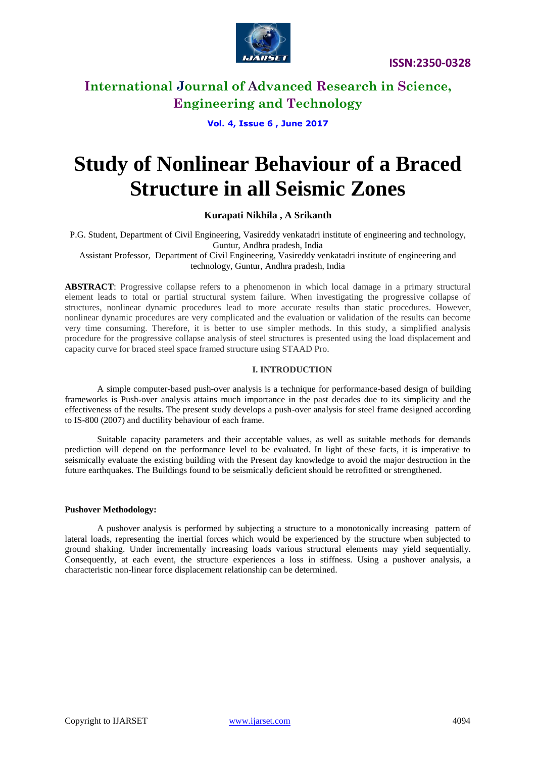

**Vol. 4, Issue 6 , June 2017**

# **Study of Nonlinear Behaviour of a Braced Structure in all Seismic Zones**

### **Kurapati Nikhila , A Srikanth**

P.G. Student, Department of Civil Engineering, Vasireddy venkatadri institute of engineering and technology, Guntur, Andhra pradesh, India

Assistant Professor, Department of Civil Engineering, Vasireddy venkatadri institute of engineering and technology, Guntur, Andhra pradesh, India

**ABSTRACT**: Progressive collapse refers to a phenomenon in which local damage in a primary structural element leads to total or partial structural system failure. When investigating the progressive collapse of structures, nonlinear dynamic procedures lead to more accurate results than static procedures. However, nonlinear dynamic procedures are very complicated and the evaluation or validation of the results can become very time consuming. Therefore, it is better to use simpler methods. In this study, a simplified analysis procedure for the progressive collapse analysis of steel structures is presented using the load displacement and capacity curve for braced steel space framed structure using STAAD Pro.

#### **I. INTRODUCTION**

A simple computer-based push-over analysis is a technique for performance-based design of building frameworks is Push-over analysis attains much importance in the past decades due to its simplicity and the effectiveness of the results. The present study develops a push-over analysis for steel frame designed according to IS-800 (2007) and ductility behaviour of each frame.

Suitable capacity parameters and their acceptable values, as well as suitable methods for demands prediction will depend on the performance level to be evaluated. In light of these facts, it is imperative to seismically evaluate the existing building with the Present day knowledge to avoid the major destruction in the future earthquakes. The Buildings found to be seismically deficient should be retrofitted or strengthened.

#### **Pushover Methodology:**

A pushover analysis is performed by subjecting a structure to a monotonically increasing pattern of lateral loads, representing the inertial forces which would be experienced by the structure when subjected to ground shaking. Under incrementally increasing loads various structural elements may yield sequentially. Consequently, at each event, the structure experiences a loss in stiffness. Using a pushover analysis, a characteristic non-linear force displacement relationship can be determined.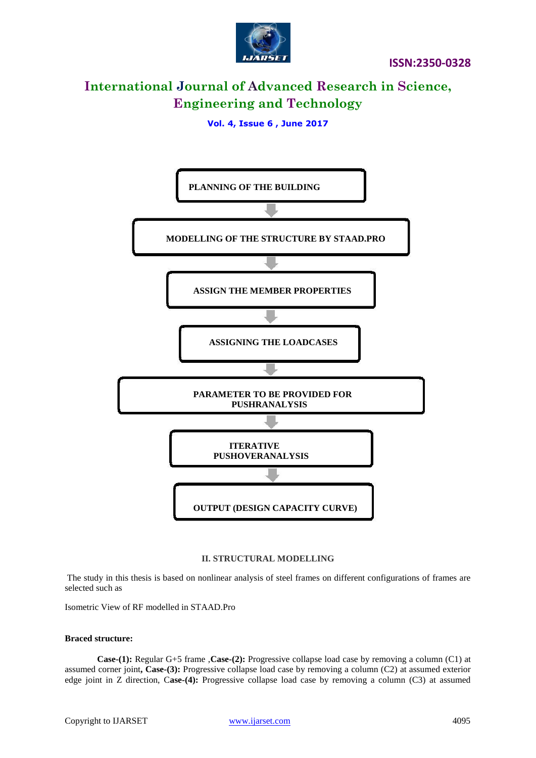

**Vol. 4, Issue 6 , June 2017**



#### **II. STRUCTURAL MODELLING**

The study in this thesis is based on nonlinear analysis of steel frames on different configurations of frames are selected such as

Isometric View of RF modelled in STAAD.Pro

#### **Braced structure:**

**Case-(1):** Regular G+5 frame ,**Case-(2):** Progressive collapse load case by removing a column (C1) at assumed corner joint**, Case-(3):** Progressive collapse load case by removing a column (C2) at assumed exterior edge joint in Z direction, C**ase-(4):** Progressive collapse load case by removing a column (C3) at assumed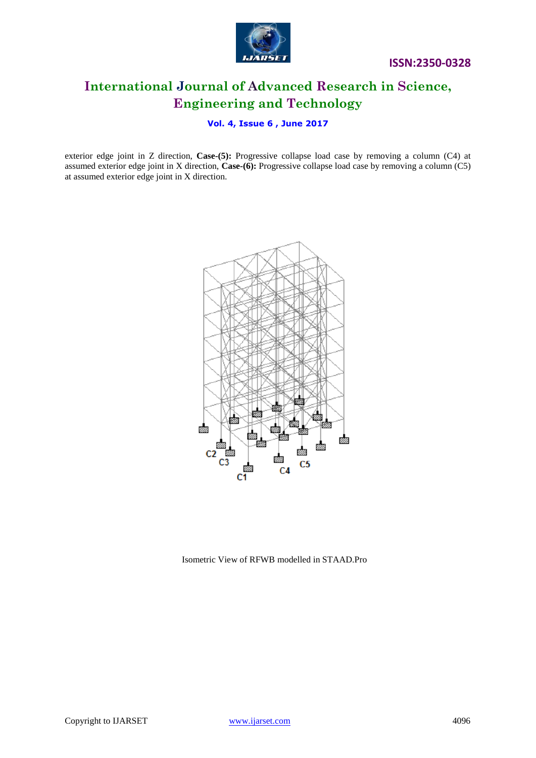

### **Vol. 4, Issue 6 , June 2017**

exterior edge joint in Z direction, **Case-(5):** Progressive collapse load case by removing a column (C4) at assumed exterior edge joint in X direction, **Case-(6):** Progressive collapse load case by removing a column (C5) at assumed exterior edge joint in X direction.



Isometric View of RFWB modelled in STAAD.Pro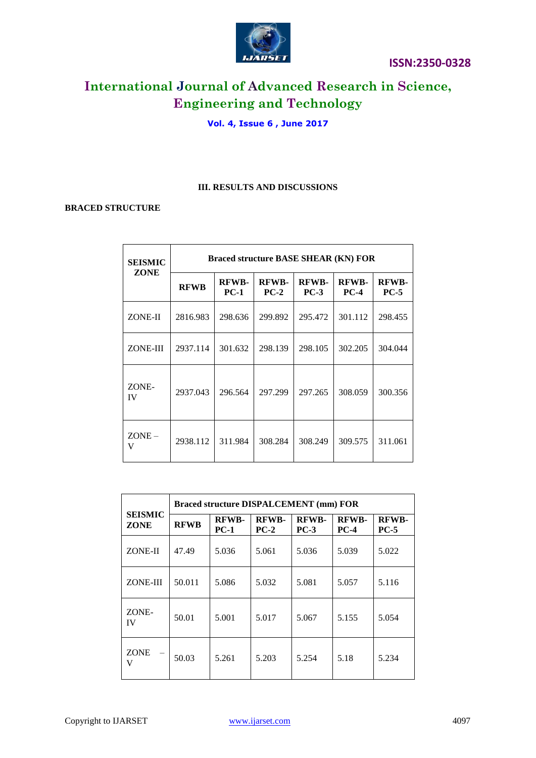

# **Vol. 4, Issue 6 , June 2017**

### **III. RESULTS AND DISCUSSIONS**

### **BRACED STRUCTURE**

| <b>SEISMIC</b><br>ZONE | <b>Braced structure BASE SHEAR (KN) FOR</b> |                        |                        |                        |                             |                        |  |  |
|------------------------|---------------------------------------------|------------------------|------------------------|------------------------|-----------------------------|------------------------|--|--|
|                        | <b>RFWB</b>                                 | <b>RFWB-</b><br>$PC-1$ | <b>RFWB-</b><br>$PC-2$ | <b>RFWB-</b><br>$PC-3$ | <b>RFWB-</b><br><b>PC-4</b> | <b>RFWB-</b><br>$PC-5$ |  |  |
| ZONE-II                | 2816.983                                    | 298.636                | 299.892                | 295.472                | 301.112                     | 298.455                |  |  |
| ZONE-III               | 2937.114                                    | 301.632                | 298.139                | 298.105                | 302.205                     | 304.044                |  |  |
| ZONE-<br><b>IV</b>     | 2937.043                                    | 296.564                | 297.299                | 297.265                | 308.059                     | 300.356                |  |  |
| $ZONE -$<br>v          | 2938.112                                    | 311.984                | 308.284                | 308.249                | 309.575                     | 311.061                |  |  |

| <b>SEISMIC</b><br>ZONE | <b>Braced structure DISPALCEMENT (mm) FOR</b> |                        |                        |                        |                        |                        |  |  |
|------------------------|-----------------------------------------------|------------------------|------------------------|------------------------|------------------------|------------------------|--|--|
|                        | <b>RFWB</b>                                   | <b>RFWB-</b><br>$PC-1$ | <b>RFWB-</b><br>$PC-2$ | <b>RFWB-</b><br>$PC-3$ | <b>RFWB-</b><br>$PC-4$ | <b>RFWB-</b><br>$PC-5$ |  |  |
| ZONE-II                | 47.49                                         | 5.036                  | 5.061                  | 5.036                  | 5.039                  | 5.022                  |  |  |
| ZONE-III               | 50.011                                        | 5.086                  | 5.032                  | 5.081                  | 5.057                  | 5.116                  |  |  |
| ZONE-<br><b>IV</b>     | 50.01                                         | 5.001                  | 5.017                  | 5.067                  | 5.155                  | 5.054                  |  |  |
| <b>ZONE</b><br>V       | 50.03                                         | 5.261                  | 5.203                  | 5.254                  | 5.18                   | 5.234                  |  |  |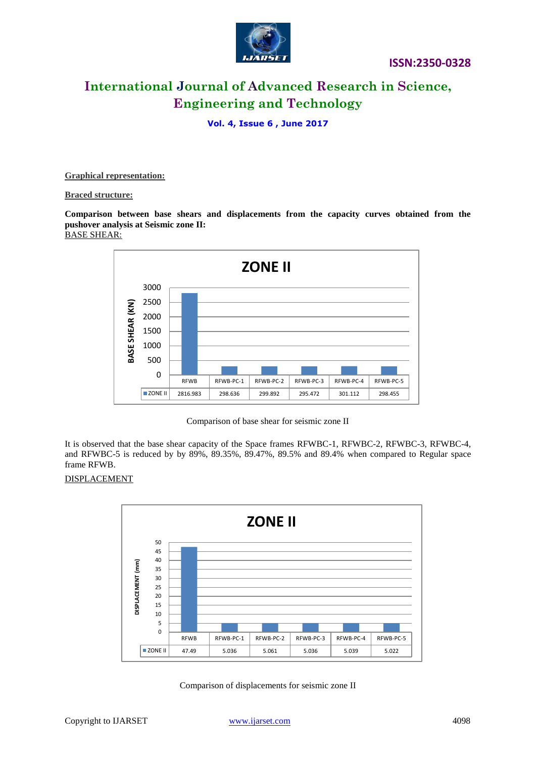

### **Vol. 4, Issue 6 , June 2017**

**Graphical representation:**

#### **Braced structure:**

**Comparison between base shears and displacements from the capacity curves obtained from the pushover analysis at Seismic zone II:** BASE SHEAR:





It is observed that the base shear capacity of the Space frames RFWBC-1, RFWBC-2, RFWBC-3, RFWBC-4, and RFWBC-5 is reduced by by 89%, 89.35%, 89.47%, 89.5% and 89.4% when compared to Regular space frame RFWB.

### DISPLACEMENT



Comparison of displacements for seismic zone II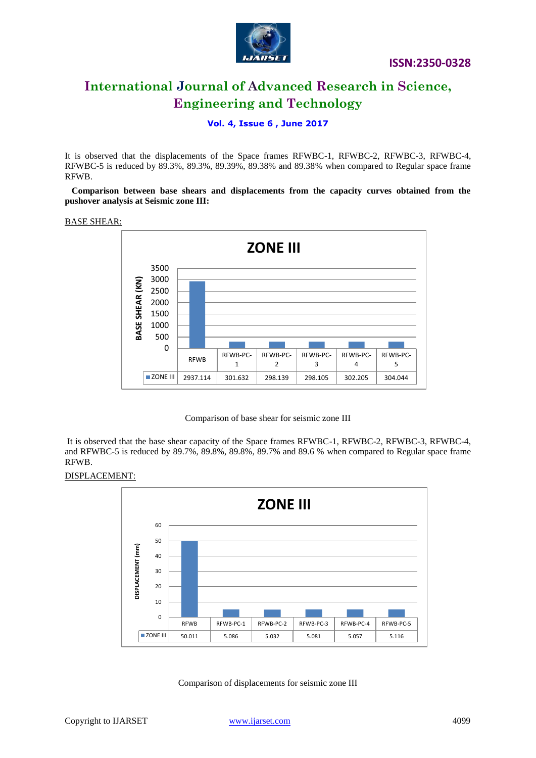

### **Vol. 4, Issue 6 , June 2017**

It is observed that the displacements of the Space frames RFWBC-1, RFWBC-2, RFWBC-3, RFWBC-4, RFWBC-5 is reduced by 89.3%, 89.3%, 89.39%, 89.38% and 89.38% when compared to Regular space frame RFWB.

 **Comparison between base shears and displacements from the capacity curves obtained from the pushover analysis at Seismic zone III:**

#### BASE SHEAR:



#### Comparison of base shear for seismic zone III

It is observed that the base shear capacity of the Space frames RFWBC-1, RFWBC-2, RFWBC-3, RFWBC-4, and RFWBC-5 is reduced by 89.7%, 89.8%, 89.8%, 89.7% and 89.6 % when compared to Regular space frame RFWB.

#### DISPLACEMENT:



Comparison of displacements for seismic zone III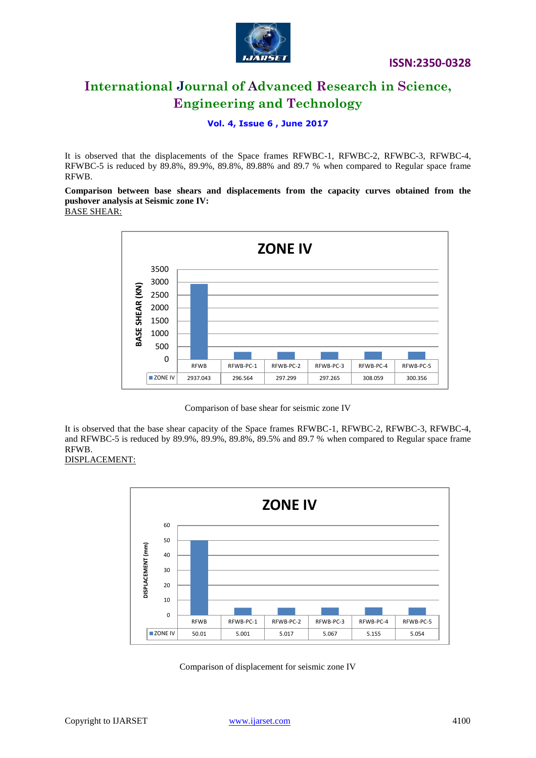

**Vol. 4, Issue 6 , June 2017**

It is observed that the displacements of the Space frames RFWBC-1, RFWBC-2, RFWBC-3, RFWBC-4, RFWBC-5 is reduced by 89.8%, 89.9%, 89.8%, 89.88% and 89.7 % when compared to Regular space frame RFWB.

**Comparison between base shears and displacements from the capacity curves obtained from the pushover analysis at Seismic zone IV:**

BASE SHEAR:



Comparison of base shear for seismic zone IV

It is observed that the base shear capacity of the Space frames RFWBC-1, RFWBC-2, RFWBC-3, RFWBC-4, and RFWBC-5 is reduced by 89.9%, 89.9%, 89.8%, 89.5% and 89.7 % when compared to Regular space frame RFWB.

# DISPLACEMENT:



Comparison of displacement for seismic zone IV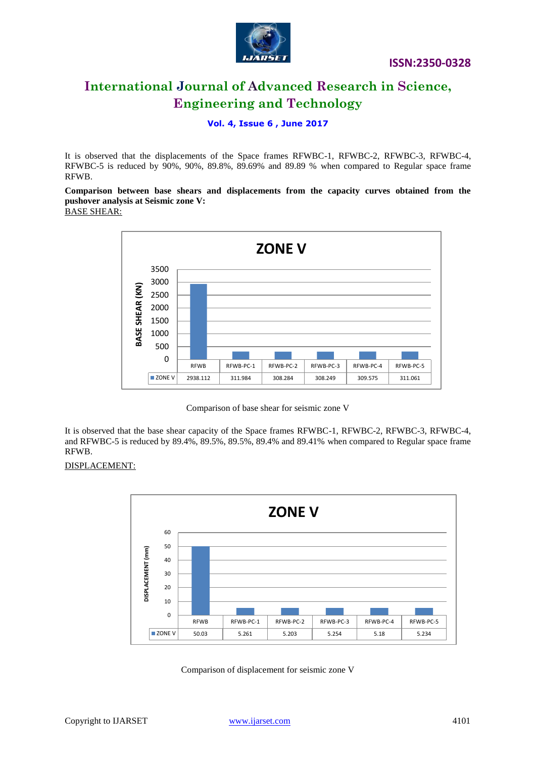

**Vol. 4, Issue 6 , June 2017**

It is observed that the displacements of the Space frames RFWBC-1, RFWBC-2, RFWBC-3, RFWBC-4, RFWBC-5 is reduced by 90%, 90%, 89.8%, 89.69% and 89.89 % when compared to Regular space frame RFWB.

**Comparison between base shears and displacements from the capacity curves obtained from the pushover analysis at Seismic zone V:**

BASE SHEAR:



Comparison of base shear for seismic zone V

It is observed that the base shear capacity of the Space frames RFWBC-1, RFWBC-2, RFWBC-3, RFWBC-4, and RFWBC-5 is reduced by 89.4%, 89.5%, 89.5%, 89.4% and 89.41% when compared to Regular space frame RFWB.

# DISPLACEMENT:



Comparison of displacement for seismic zone V